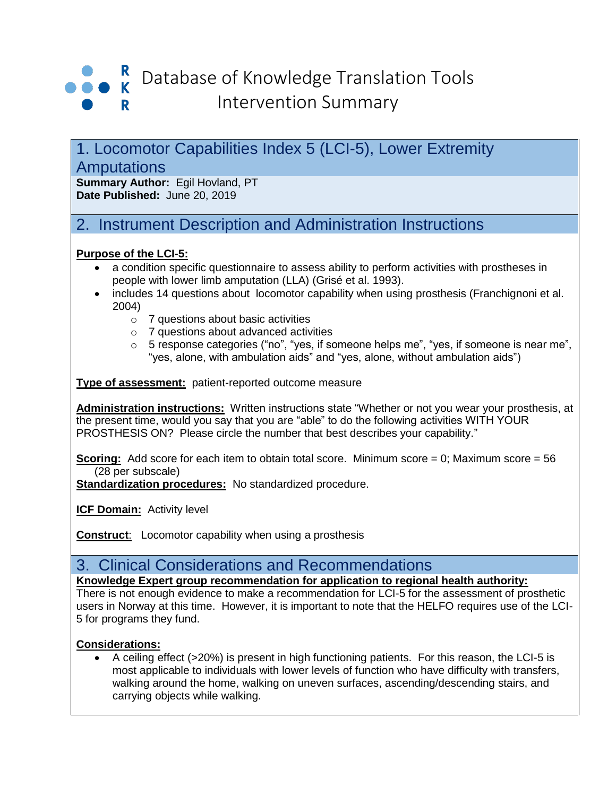

# 1. Locomotor Capabilities Index 5 (LCI-5), Lower Extremity **Amputations**

**Summary Author:** Egil Hovland, PT **Date Published:** June 20, 2019

# 2. Instrument Description and Administration Instructions

#### **Purpose of the LCI-5:**

- a condition specific questionnaire to assess ability to perform activities with prostheses in people with lower limb amputation (LLA) (Grisé et al. 1993).
- includes 14 questions about locomotor capability when using prosthesis (Franchignoni et al. 2004)
	- o 7 questions about basic activities
	- o 7 questions about advanced activities
	- o 5 response categories ("no", "yes, if someone helps me", "yes, if someone is near me", "yes, alone, with ambulation aids" and "yes, alone, without ambulation aids")

**Type of assessment:**patient-reported outcome measure

**Administration instructions:** Written instructions state "Whether or not you wear your prosthesis, at the present time, would you say that you are "able" to do the following activities WITH YOUR PROSTHESIS ON? Please circle the number that best describes your capability."

**Scoring:** Add score for each item to obtain total score. Minimum score = 0; Maximum score = 56 (28 per subscale)

**Standardization procedures:** No standardized procedure.

**ICF Domain: Activity level** 

**Construct:** Locomotor capability when using a prosthesis

## 3. Clinical Considerations and Recommendations

**Knowledge Expert group recommendation for application to regional health authority:**

There is not enough evidence to make a recommendation for LCI-5 for the assessment of prosthetic users in Norway at this time. However, it is important to note that the HELFO requires use of the LCI-5 for programs they fund.

#### **Considerations:**

• A ceiling effect (>20%) is present in high functioning patients. For this reason, the LCI-5 is most applicable to individuals with lower levels of function who have difficulty with transfers, walking around the home, walking on uneven surfaces, ascending/descending stairs, and carrying objects while walking.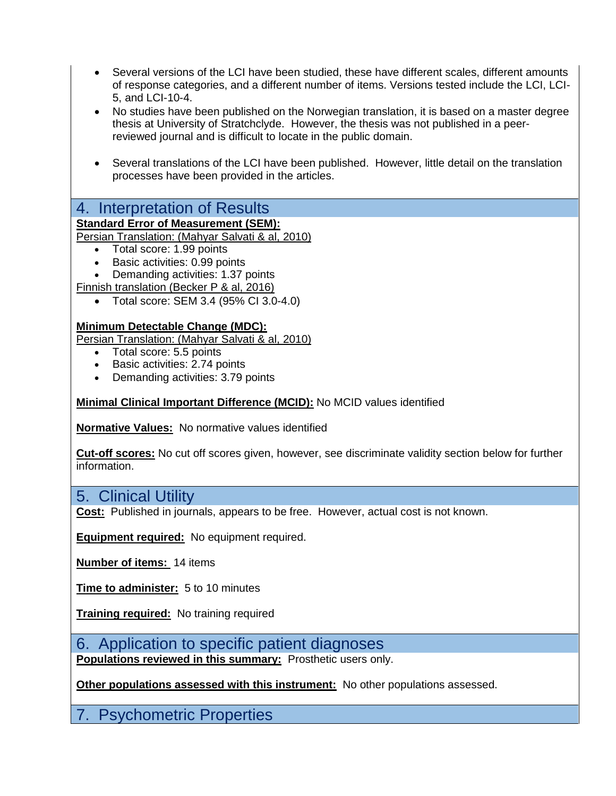- Several versions of the LCI have been studied, these have different scales, different amounts of response categories, and a different number of items. Versions tested include the LCI, LCI-5, and LCI-10-4.
- No studies have been published on the Norwegian translation, it is based on a master degree thesis at University of Stratchclyde. However, the thesis was not published in a peerreviewed journal and is difficult to locate in the public domain.
- Several translations of the LCI have been published. However, little detail on the translation processes have been provided in the articles.

## 4. Interpretation of Results

### **Standard Error of Measurement (SEM):**

Persian Translation: (Mahyar Salvati & al, 2010)

- Total score: 1.99 points
- Basic activities: 0.99 points
- Demanding activities: 1.37 points

Finnish translation (Becker P & al, 2016)

• Total score: SEM 3.4 (95% CI 3.0-4.0)

#### **Minimum Detectable Change (MDC):**

Persian Translation: (Mahyar Salvati & al, 2010)

- Total score: 5.5 points
- Basic activities: 2.74 points
- Demanding activities: 3.79 points

#### **Minimal Clinical Important Difference (MCID):** No MCID values identified

**Normative Values:** No normative values identified

**Cut-off scores:** No cut off scores given, however, see discriminate validity section below for further information.

### 5. Clinical Utility

**Cost:** Published in journals, appears to be free. However, actual cost is not known.

**Equipment required:** No equipment required.

**Number of items:** 14 items

**Time to administer:** 5 to 10 minutes

**Training required:**No training required

6. Application to specific patient diagnoses **Populations reviewed in this summary:** Prosthetic users only.

**Other populations assessed with this instrument:** No other populations assessed.

7. Psychometric Properties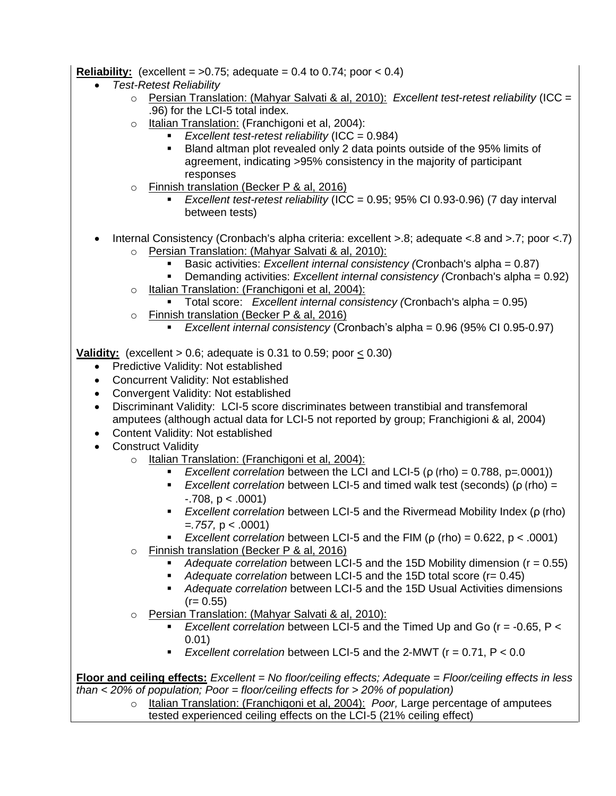#### **Reliability:** (excellent =  $>0.75$ ; adequate = 0.4 to 0.74; poor < 0.4)

- *Test-Retest Reliability*
	- o Persian Translation: (Mahyar Salvati & al, 2010): *Excellent test-retest reliability* (ICC = .96) for the LCI-5 total index.
	- o Italian Translation: (Franchigoni et al, 2004):
		- *Excellent test-retest reliability* (ICC = 0.984)
			- Bland altman plot revealed only 2 data points outside of the 95% limits of agreement, indicating >95% consistency in the majority of participant responses
	- o Finnish translation (Becker P & al, 2016)
		- *Excellent test-retest reliability* (ICC = 0.95; 95% CI 0.93-0.96) (7 day interval between tests)
- Internal Consistency (Cronbach's alpha criteria: excellent >.8; adequate <.8 and >.7; poor <.7) o Persian Translation: (Mahyar Salvati & al, 2010):
	- Basic activities: *Excellent internal consistency (*Cronbach's alpha = 0.87)
	- Demanding activities: *Excellent internal consistency (*Cronbach's alpha = 0.92)
	- o Italian Translation: (Franchigoni et al, 2004):
		- Total score: *Excellent internal consistency (*Cronbach's alpha = 0.95)
	- o Finnish translation (Becker P & al, 2016)
		- *Excellent internal consistency* (Cronbach's alpha = 0.96 (95% CI 0.95-0.97)

**Validity:** (excellent  $> 0.6$ ; adequate is 0.31 to 0.59; poor  $< 0.30$ )

- Predictive Validity: Not established
- Concurrent Validity: Not established
- Convergent Validity: Not established
- Discriminant Validity: LCI-5 score discriminates between transtibial and transfemoral amputees (although actual data for LCI-5 not reported by group; Franchigioni & al, 2004)
- Content Validity: Not established
- Construct Validity
	- o Italian Translation: (Franchigoni et al, 2004):
		- *Excellent correlation between the LCI and LCI-5 (* $\rho$  *(rho) = 0.788, p=.0001))*
		- *Excellent correlation* between LCI-5 and timed walk test (seconds) (ρ (rho) =  $-0.708$ , p  $< 0.0001$ )
		- *Excellent correlation* between LCI-5 and the Rivermead Mobility Index (ρ (rho) =*.757,* p < .0001)
		- *Excellent correlation* between LCI-5 and the FIM (ρ (rho) = 0.622, p < .0001)
	- o Finnish translation (Becker P & al, 2016)
		- *Adequate correlation* between LCI-5 and the 15D Mobility dimension (r = 0.55)
		- *Adequate correlation* between LCI-5 and the 15D total score (r= 0.45)
		- *Adequate correlation* between LCI-5 and the 15D Usual Activities dimensions  $(r= 0.55)$
	- o Persian Translation: (Mahyar Salvati & al, 2010):
		- *Excellent correlation* between LCI-5 and the Timed Up and Go (r = -0.65, P < 0.01)
		- *Excellent correlation* between LCI-5 and the 2-MWT (r = 0.71, P < 0.0

**Floor and ceiling effects:** *Excellent = No floor/ceiling effects; Adequate = Floor/ceiling effects in less than < 20% of population; Poor = floor/ceiling effects for > 20% of population)*

o Italian Translation: (Franchigoni et al, 2004): *Poor,* Large percentage of amputees tested experienced ceiling effects on the LCI-5 (21% ceiling effect)